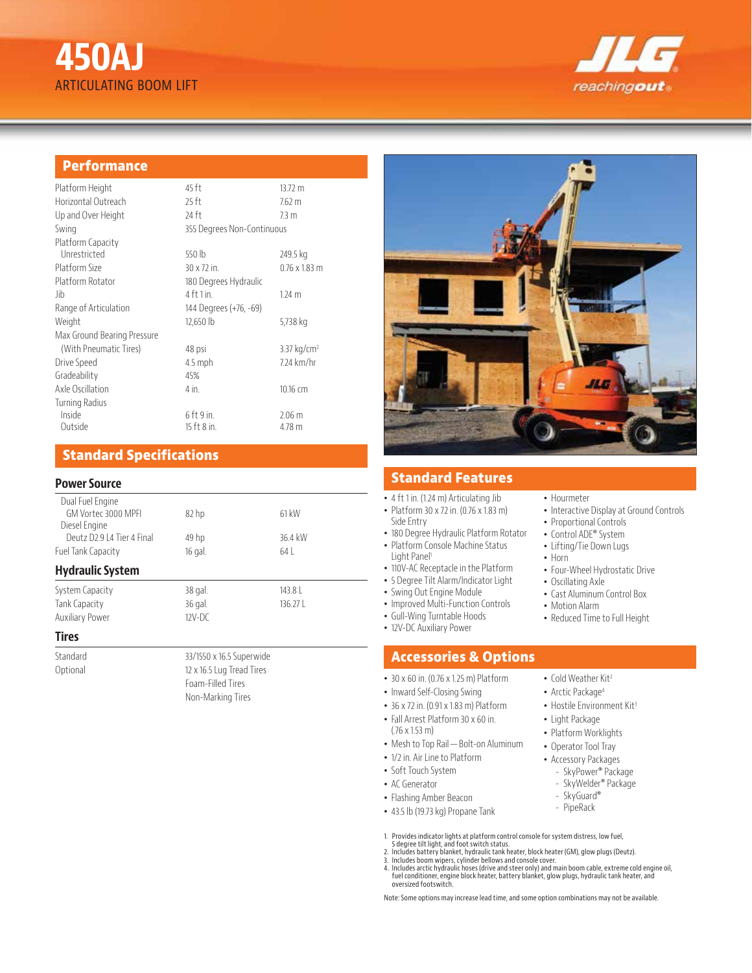# **450AJ** ARTICULATING BOOM LIFT



## **Performance**

| Platform Height             | 45 ft                      | 13.72 m                   |
|-----------------------------|----------------------------|---------------------------|
| Horizontal Outreach         | 25 ft                      | 7.62 <sub>m</sub>         |
| Up and Over Height          | 24 ft                      | 7.3 m                     |
| Swing                       | 355 Degrees Non-Continuous |                           |
| Platform Capacity           |                            |                           |
| Unrestricted                | 550 lb                     | 249.5 kg                  |
| Platform Size               | 30 x 72 in.                | $0.76 \times 1.83$ m      |
| Platform Rotator            | 180 Degrees Hydraulic      |                           |
| Jib                         | $4$ ft 1 in.               | 1.24 <sub>m</sub>         |
| Range of Articulation       | 144 Degrees (+76, -69)     |                           |
| Weight                      | 12,650 lb                  | 5,738 kg                  |
| Max Ground Bearing Pressure |                            |                           |
| (With Pneumatic Tires)      | 48 psi                     | $3.37$ kg/cm <sup>2</sup> |
| Drive Speed                 | $4.5$ mph                  | 7.24 km/hr                |
| Gradeability                | 45%                        |                           |
| Axle Oscillation            | $4$ in.                    | 10.16 cm                  |
| <b>Turning Radius</b>       |                            |                           |
| Inside                      | $6$ ft 9 in.               | 2.06 <sub>m</sub>         |
| Outside                     | 15 ft 8 in.                | $4.78$ m                  |

## **Standard Specifications**

#### **Power Source**

| Dual Fuel Engine            |                  |         |  |
|-----------------------------|------------------|---------|--|
| GM Vortec 3000 MPFL         | 82 <sub>hp</sub> | 61 kW   |  |
| Diesel Engine               |                  |         |  |
| Deutz D2.9   4 Tier 4 Final | 49 hp            | 36.4 kW |  |
| Fuel Tank Capacity          | 16 gal.          | 64      |  |
| <b>Hydraulic System</b>     |                  |         |  |
| System Capacity             | 38 gal.          | $143.8$ |  |
| Tank Capacity               | 36 gal.          | 136.27L |  |
| <b>Auxiliary Power</b>      | $12V-DC$         |         |  |
| Tiuos                       |                  |         |  |

#### **Tires**

Standard 33/1550 x 16.5 Superwide Optional 12 x 16.5 Lug Tread Tires



## **Standard Features**

• 4 ft 1 in. (1.24 m) Articulating Jib

- Platform 30 x 72 in. (0.76 x 1.83 m) Side Entry
- 180 Degree Hydraulic Platform Rotator • Platform Console Machine Status
- Light Panel<sup>1</sup>
- 110V-AC Receptacle in the Platform
- 5 Degree Tilt Alarm/Indicator Light
- Swing Out Engine Module
- Improved Multi-Function Controls
- Gull-Wing Turntable Hoods
- 12V-DC Auxiliary Power

## **Accessories & Options**

- 30 x 60 in. (0.76 x 1.25 m) Platform
- Inward Self-Closing Swing
- 36 x 72 in. (0.91 x 1.83 m) Platform
- Fall Arrest Platform 30 x 60 in. (.76 x 1.53 m)
- Mesh to Top Rail—Bolt-on Aluminum
- 1/2 in. Air Line to Platform
- Soft Touch System
- AC Generator
- Flashing Amber Beacon
- 43.5 lb (19.73 kg) Propane Tank
- - PipeRack
- 1. Provides indicator lights at platform control console for system distress, low fuel, 5 degree tilt light, and foot switch status.
- 
- 2. Includes battery blanket, hydraulic tank heater, block heater (GM), glow plugs (Deutz).<br>3. Includes boom wipers, cylinder bellows and console cover.<br>4. Includes arctic hydraulic hoses (drive and steer only) and main boo oversized footswitch.

Note: Some options may increase lead time, and some option combinations may not be available.

- Hourmeter
- Interactive Display at Ground Controls
- Proportional Controls
- Control ADE® System
- Lifting/Tie Down Lugs
- Horn
- Four-Wheel Hydrostatic Drive
- Oscillating Axle
- Cast Aluminum Control Box
- Motion Alarm
- Reduced Time to Full Height
- - - Cold Weather Kit<sup>2</sup> • Arctic Package<sup>4</sup>
		- Hostile Environment Kit<sup>3</sup>
		-
		- Light Package
		- Platform Worklights
		- Operator Tool Tray • Accessory Packages
		- SkyPower® Package
			- SkyWelder® Package
		- SkyGuard®
		-
- 
- 
- 
- 
- 
- 
- -